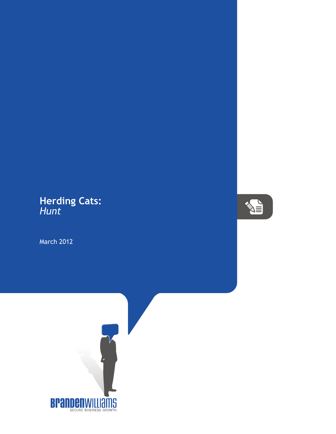## **Herding Cats:** *Hunt*

March 2012



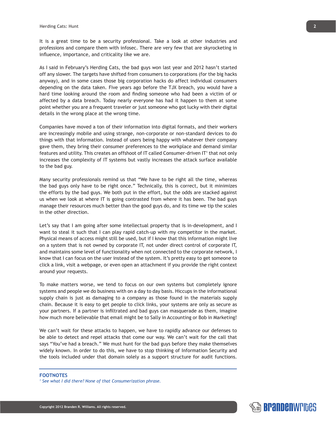It is a great time to be a security professional. Take a look at other industries and professions and compare them with infosec. There are very few that are skyrocketing in influence, importance, and criticality like we are.

As I said in February's Herding Cats, the bad guys won last year and 2012 hasn't started off any slower. The targets have shifted from consumers to corporations (for the big hacks anyway), and in some cases those big corporation hacks do affect individual consumers depending on the data taken. Five years ago before the TJX breach, you would have a hard time looking around the room and finding someone who had been a victim of or affected by a data breach. Today nearly everyone has had it happen to them at some point whether you are a frequent traveler or just someone who got lucky with their digital details in the wrong place at the wrong time.

Companies have moved a ton of their information into digital formats, and their workers are increasingly mobile and using strange, non-corporate or non-standard devices to do things with that information. Instead of users being happy with whatever their company gave them, they bring their consumer preferences to the workplace and demand similar features and utility. This creates an offshoot of IT called Consumer-driven IT $^{\prime}$  that not only increases the complexity of IT systems but vastly increases the attack surface available to the bad guy.

Many security professionals remind us that "We have to be right all the time, whereas the bad guys only have to be right once." Technically, this is correct, but it minimizes the efforts by the bad guys. We both put in the effort, but the odds are stacked against us when we look at where IT is going contrasted from where it has been. The bad guys manage their resources much better than the good guys do, and its time we tip the scales in the other direction.

Let's say that I am going after some intellectual property that is in-development, and I want to steal it such that I can play rapid catch-up with my competitor in the market. Physical means of access might still be used, but if I know that this information might live on a system that is not owned by corporate IT, not under direct control of corporate IT, and maintains some level of functionality when not connected to the corporate network, I know that I can focus on the user instead of the system. It's pretty easy to get someone to click a link, visit a webpage, or even open an attachment if you provide the right context around your requests.

To make matters worse, we tend to focus on our own systems but completely ignore systems and people we do business with on a day to day basis. Hiccups in the informational supply chain is just as damaging to a company as those found in the materials supply chain. Because it is easy to get people to click links, your systems are only as secure as your partners. If a partner is infiltrated and bad guys can masquerade as them, imagine how much more believable that email might be to Sally in Accounting or Bob in Marketing!

We can't wait for these attacks to happen, we have to rapidly advance our defenses to be able to detect and repel attacks that come our way. We can't wait for the call that says "You've had a breach." We must hunt for the bad guys before they make themselves widely known. In order to do this, we have to stop thinking of Information Security and the tools included under that domain solely as a support structure for audit functions.

## **FOOTNOTES**

*1 See what I did there? None of that Consumerization phrase.*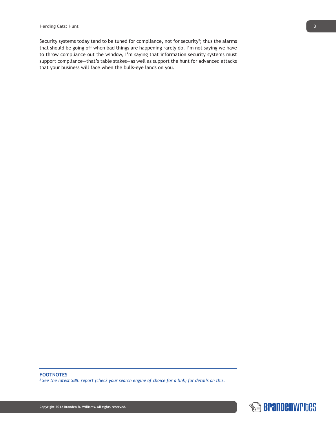Security systems today tend to be tuned for compliance, not for security<sup>2</sup>; thus the alarms that should be going off when bad things are happening rarely do. I'm not saying we have to throw compliance out the window, I'm saying that information security systems must support compliance—that's table stakes—as well as support the hunt for advanced attacks that your business will face when the bulls-eye lands on you.

*2 See the latest SBIC report (check your search engine of choice for a link) for details on this.*

**FOOTNOTES**